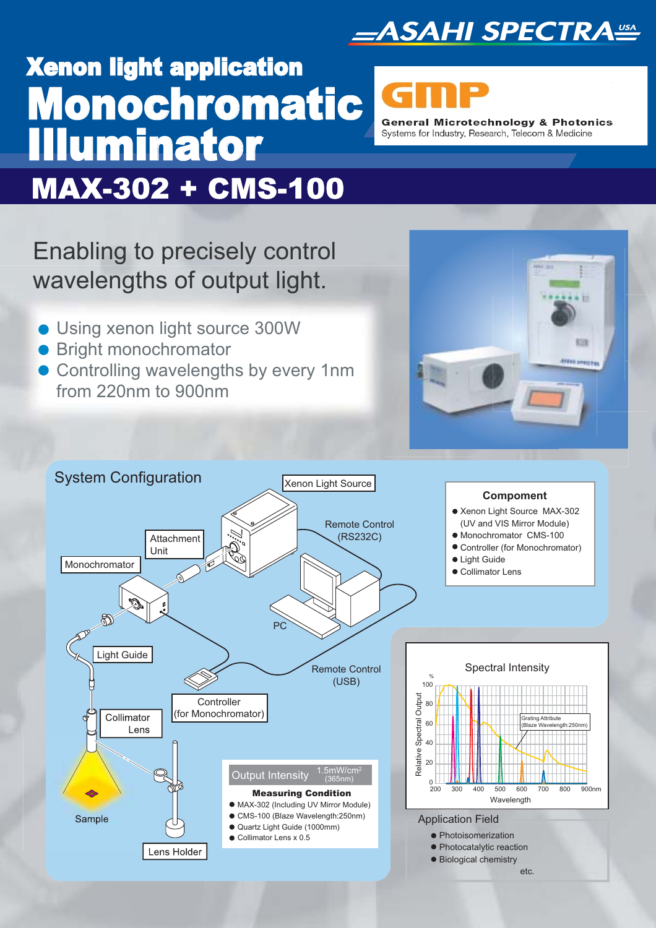

# Xenon light application Monochromatic<br>Illuminator **General Microtechnology & Photonics** Systems for Industry, Research, Telecom & Medicine MAX-302 + CMS-100

Enabling to precisely control wavelengths of output light.

- Using xenon light source 300W
- Bright monochromator
- **Controlling wavelengths by every 1nm** from 220nm to 900nm